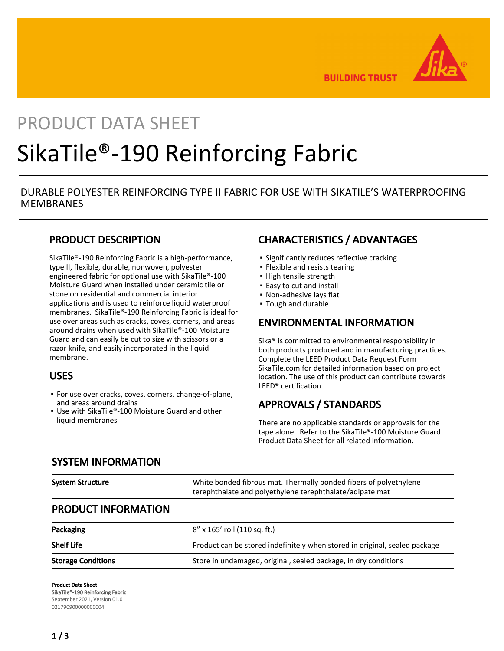

**BUILDING TRUST** 

# PRODUCT DATA SHEET SikaTile®-190 Reinforcing Fabric

## DURABLE POLYESTER REINFORCING TYPE II FABRIC FOR USE WITH SIKATILE'S WATERPROOFING **MEMBRANES**

## PRODUCT DESCRIPTION

SikaTile®-190 Reinforcing Fabric is a high-performance, type II, flexible, durable, nonwoven, polyester engineered fabric for optional use with SikaTile®-100 Moisture Guard when installed under ceramic tile or stone on residential and commercial interior applications and is used to reinforce liquid waterproof membranes. SikaTile®-190 Reinforcing Fabric is ideal for use over areas such as cracks, coves, corners, and areas around drains when used with SikaTile®-100 Moisture Guard and can easily be cut to size with scissors or a razor knife, and easily incorporated in the liquid membrane.

## USES

- For use over cracks, coves, corners, change-of-plane, and areas around drains
- Use with SikaTile®-100 Moisture Guard and other liquid membranes

## CHARACTERISTICS / ADVANTAGES

- **·** Significantly reduces reflective cracking
- Flexible and resists tearing
- High tensile strength
- **Easy to cut and install**
- Non-adhesive lays flat
- Tough and durable

#### ENVIRONMENTAL INFORMATION

Sika® is committed to environmental responsibility in both products produced and in manufacturing practices. Complete the LEED Product Data Request Form SikaTile.com for detailed information based on project location. The use of this product can contribute towards LEED® certification.

## APPROVALS / STANDARDS

There are no applicable standards or approvals for the tape alone. Refer to the SikaTile®-100 Moisture Guard Product Data Sheet for all related information.

#### SYSTEM INFORMATION

| <b>System Structure</b>    | White bonded fibrous mat. Thermally bonded fibers of polyethylene<br>terephthalate and polyethylene terephthalate/adipate mat |  |  |
|----------------------------|-------------------------------------------------------------------------------------------------------------------------------|--|--|
| <b>PRODUCT INFORMATION</b> |                                                                                                                               |  |  |
| Packaging                  | 8" x 165' roll (110 sq. ft.)                                                                                                  |  |  |
| <b>Shelf Life</b>          | Product can be stored indefinitely when stored in original, sealed package                                                    |  |  |

### Storage Conditions Store in undamaged, original, sealed package, in dry conditions

Product Data Sheet SikaTile®-190 Reinforcing Fabric September 2021, Version 01.01 021790900000000004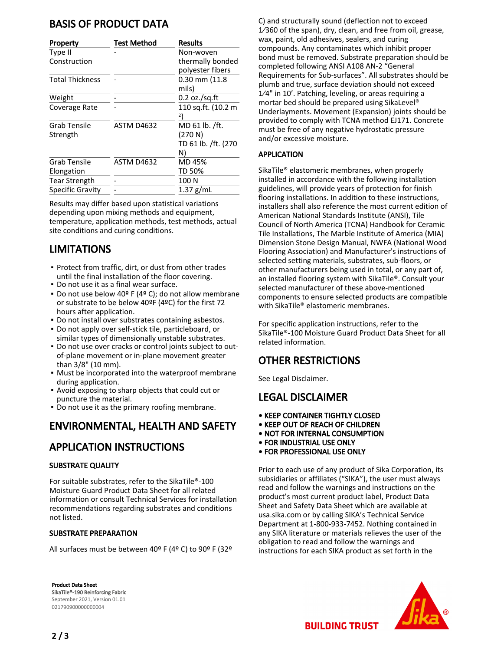## BASIS OF PRODUCT DATA

| Property                | <b>Test Method</b> | <b>Results</b>                       |
|-------------------------|--------------------|--------------------------------------|
| Type II                 |                    | Non-woven                            |
| Construction            |                    | thermally bonded<br>polyester fibers |
| <b>Total Thickness</b>  |                    | $0.30$ mm $(11.8)$<br>mils)          |
| Weight                  |                    | $0.2$ oz./sq.ft                      |
| Coverage Rate           |                    | 110 sq.ft. (10.2 m                   |
|                         |                    | 2)                                   |
| Grab Tensile            | ASTM D4632         | MD 61 lb. /ft.                       |
| Strength                |                    | (270 N)                              |
|                         |                    | TD 61 lb. /ft. (270                  |
|                         |                    | N)                                   |
| Grab Tensile            | <b>ASTM D4632</b>  | MD 45%                               |
| Elongation              |                    | TD 50%                               |
| Tear Strength           |                    | 100 N                                |
| <b>Specific Gravity</b> |                    | $1.37$ g/mL                          |

Results may differ based upon statistical variations depending upon mixing methods and equipment, temperature, application methods, test methods, actual site conditions and curing conditions.

## LIMITATIONS

- **Protect from traffic, dirt, or dust from other trades** until the final installation of the floor covering.
- Do not use it as a final wear surface.
- Do not use below 40º F (4º C); do not allow membrane or substrate to be below 40ºF (4ºC) for the first 72 hours after application.
- Do not install over substrates containing asbestos.
- **Do not apply over self-stick tile, particleboard, or** similar types of dimensionally unstable substrates.
- Do not use over cracks or control joints subject to outof-plane movement or in-plane movement greater than 3/8" (10 mm). ▪
- **Must be incorporated into the waterproof membrane** during application.
- Avoid exposing to sharp objects that could cut or puncture the material.
- Do not use it as the primary roofing membrane.

# ENVIRONMENTAL, HEALTH AND SAFETY

## APPLICATION INSTRUCTIONS

#### SUBSTRATE QUALITY

For suitable substrates, refer to the SikaTile®-100 Moisture Guard Product Data Sheet for all related information or consult Technical Services for installation recommendations regarding substrates and conditions not listed.

#### SUBSTRATE PREPARATION

All surfaces must be between 40º F (4º C) to 90º F (32º

Product Data Sheet SikaTile®-190 Reinforcing Fabric September 2021, Version 01.01 021790900000000004

C) and structurally sound (deflection not to exceed 1⁄360 of the span), dry, clean, and free from oil, grease, wax, paint, old adhesives, sealers, and curing compounds. Any contaminates which inhibit proper bond must be removed. Substrate preparation should be completed following ANSI A108 AN-2 "General Requirements for Sub-surfaces". All substrates should be plumb and true, surface deviation should not exceed 1⁄4" in 10'. Patching, leveling, or areas requiring a mortar bed should be prepared using SikaLevel® Underlayments. Movement (Expansion) joints should be provided to comply with TCNA method EJ171. Concrete must be free of any negative hydrostatic pressure and/or excessive moisture.

#### APPLICATION

SikaTile® elastomeric membranes, when properly installed in accordance with the following installation guidelines, will provide years of protection for finish flooring installations. In addition to these instructions, installers shall also reference the most current edition of American National Standards Institute (ANSI), Tile Council of North America (TCNA) Handbook for Ceramic Tile Installations, The Marble Institute of America (MIA) Dimension Stone Design Manual, NWFA (National Wood Flooring Association) and Manufacturer's instructions of selected setting materials, substrates, sub-floors, or other manufacturers being used in total, or any part of, an installed flooring system with SikaTile®. Consult your selected manufacturer of these above-mentioned components to ensure selected products are compatible with SikaTile® elastomeric membranes.

For specific application instructions, refer to the SikaTile®-100 Moisture Guard Product Data Sheet for all related information.

## OTHER RESTRICTIONS

See Legal Disclaimer.

## LEGAL DISCLAIMER

- KEEP CONTAINER TIGHTLY CLOSED
- KEEP OUT OF REACH OF CHILDREN
- NOT FOR INTERNAL CONSUMPTION
- FOR INDUSTRIAL USE ONLY
- FOR PROFESSIONAL USE ONLY

Prior to each use of any product of Sika Corporation, its subsidiaries or affiliates ("SIKA"), the user must always read and follow the warnings and instructions on the product's most current product label, Product Data Sheet and Safety Data Sheet which are available at usa.sika.com or by calling SIKA's Technical Service Department at 1-800-933-7452. Nothing contained in any SIKA literature or materials relieves the user of the obligation to read and follow the warnings and instructions for each SIKA product as set forth in the



**BUILDING TRUST**